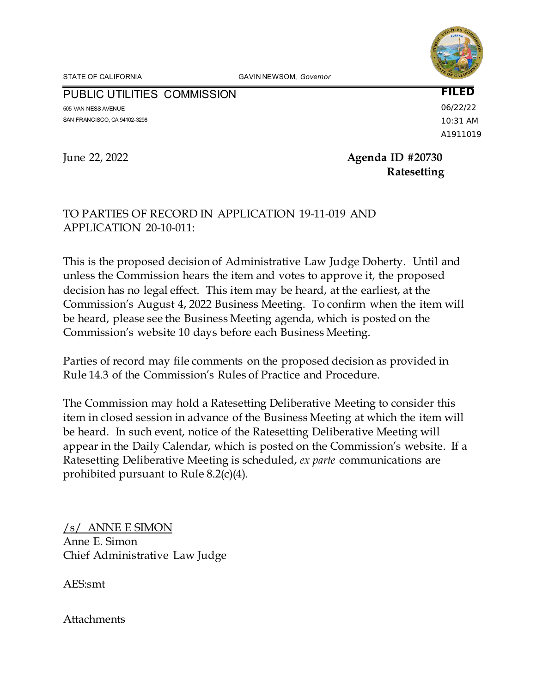STATE OF CALIFORNIA GAVIN NEWSOM, *Governor*

PUBLIC UTILITIES COMMISSION

505 VAN NESS AVENUE SAN FRANCISCO, CA 94102-3298 **FILED** 06/22/22 10:31 AM A1911019

June 22, 2022 **Agenda ID #20730 Ratesetting**

# TO PARTIES OF RECORD IN APPLICATION 19-11-019 AND APPLICATION 20-10-011:

This is the proposed decision of Administrative Law Judge Doherty. Until and unless the Commission hears the item and votes to approve it, the proposed decision has no legal effect. This item may be heard, at the earliest, at the Commission's August 4, 2022 Business Meeting. To confirm when the item will be heard, please see the Business Meeting agenda, which is posted on the Commission's website 10 days before each Business Meeting.

Parties of record may file comments on the proposed decision as provided in Rule 14.3 of the Commission's Rules of Practice and Procedure.

The Commission may hold a Ratesetting Deliberative Meeting to consider this item in closed session in advance of the Business Meeting at which the item will be heard. In such event, notice of the Ratesetting Deliberative Meeting will appear in the Daily Calendar, which is posted on the Commission's website. If a Ratesetting Deliberative Meeting is scheduled, *ex parte* communications are prohibited pursuant to Rule 8.2(c)(4).

/s/ ANNE E SIMON Anne E. Simon Chief Administrative Law Judge

AES:smt

**Attachments**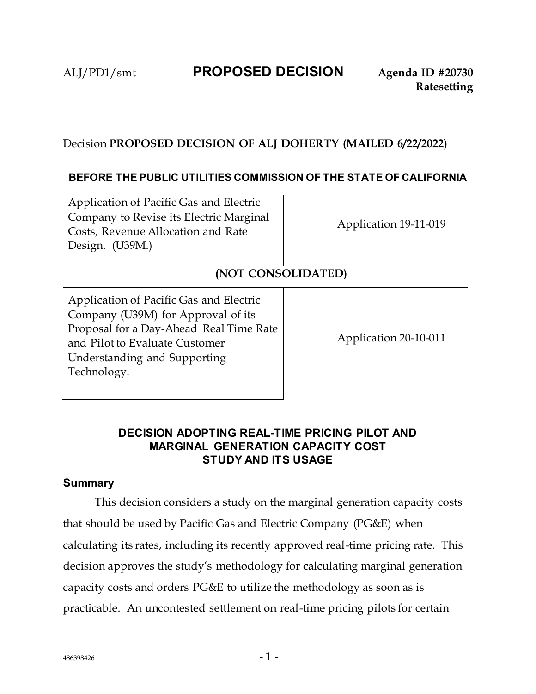# ALJ/PD1/smt **PROPOSED DECISION Agenda ID #20730**

# Decision **PROPOSED DECISION OF ALJ DOHERTY (MAILED 6/22/2022)**

## **BEFORE THE PUBLIC UTILITIES COMMISSION OF THE STATE OF CALIFORNIA**

Application of Pacific Gas and Electric Company to Revise its Electric Marginal Costs, Revenue Allocation and Rate Design. (U39M.)

Application 19-11-019

# **(NOT CONSOLIDATED)**

Application of Pacific Gas and Electric Company (U39M) for Approval of its Proposal for a Day-Ahead Real Time Rate and Pilot to Evaluate Customer Understanding and Supporting Technology.

Application 20-10-011

# **DECISION ADOPTING REAL-TIME PRICING PILOT AND MARGINAL GENERATION CAPACITY COST STUDY AND ITS USAGE**

### **Summary**

This decision considers a study on the marginal generation capacity costs that should be used by Pacific Gas and Electric Company (PG&E) when calculating its rates, including its recently approved real-time pricing rate. This decision approves the study's methodology for calculating marginal generation capacity costs and orders PG&E to utilize the methodology as soon as is practicable. An uncontested settlement on real-time pricing pilots for certain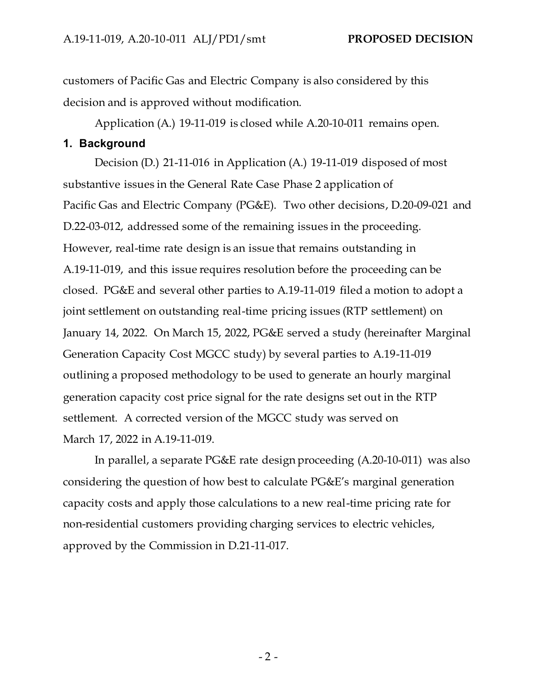customers of Pacific Gas and Electric Company is also considered by this decision and is approved without modification.

Application (A.) 19-11-019 is closed while A.20-10-011 remains open.

### **1. Background**

Decision (D.) 21-11-016 in Application (A.) 19-11-019 disposed of most substantive issues in the General Rate Case Phase 2 application of Pacific Gas and Electric Company (PG&E). Two other decisions, D.20-09-021 and D.22-03-012, addressed some of the remaining issues in the proceeding. However, real-time rate design is an issue that remains outstanding in A.19-11-019, and this issue requires resolution before the proceeding can be closed. PG&E and several other parties to A.19-11-019 filed a motion to adopt a joint settlement on outstanding real-time pricing issues (RTP settlement) on January 14, 2022. On March 15, 2022, PG&E served a study (hereinafter Marginal Generation Capacity Cost MGCC study) by several parties to A.19-11-019 outlining a proposed methodology to be used to generate an hourly marginal generation capacity cost price signal for the rate designs set out in the RTP settlement. A corrected version of the MGCC study was served on March 17, 2022 in A.19-11-019.

In parallel, a separate PG&E rate design proceeding (A.20-10-011) was also considering the question of how best to calculate PG&E's marginal generation capacity costs and apply those calculations to a new real-time pricing rate for non-residential customers providing charging services to electric vehicles, approved by the Commission in D.21-11-017.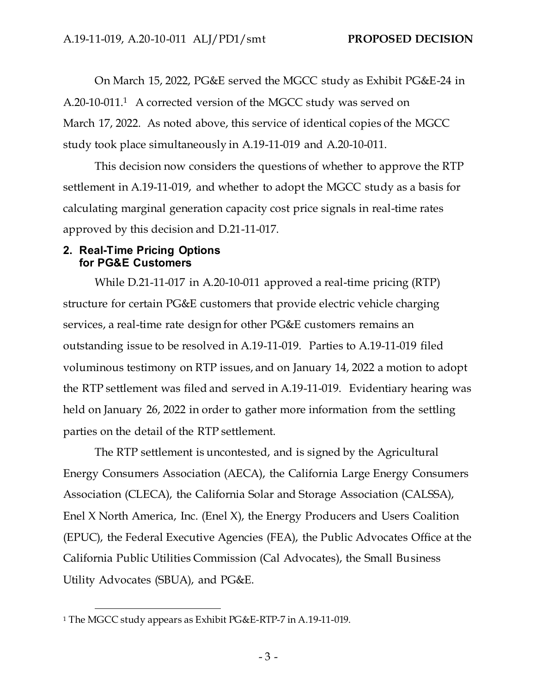On March 15, 2022, PG&E served the MGCC study as Exhibit PG&E-24 in A.20-10-011.<sup>1</sup> A corrected version of the MGCC study was served on March 17, 2022. As noted above, this service of identical copies of the MGCC study took place simultaneously in A.19-11-019 and A.20-10-011.

This decision now considers the questions of whether to approve the RTP settlement in A.19-11-019, and whether to adopt the MGCC study as a basis for calculating marginal generation capacity cost price signals in real-time rates approved by this decision and D.21-11-017.

### **2. Real-Time Pricing Options for PG&E Customers**

While D.21-11-017 in A.20-10-011 approved a real-time pricing (RTP) structure for certain PG&E customers that provide electric vehicle charging services, a real-time rate design for other PG&E customers remains an outstanding issue to be resolved in A.19-11-019. Parties to A.19-11-019 filed voluminous testimony on RTP issues, and on January 14, 2022 a motion to adopt the RTP settlement was filed and served in A.19-11-019. Evidentiary hearing was held on January 26, 2022 in order to gather more information from the settling parties on the detail of the RTP settlement.

The RTP settlement is uncontested, and is signed by the Agricultural Energy Consumers Association (AECA), the California Large Energy Consumers Association (CLECA), the California Solar and Storage Association (CALSSA), Enel X North America, Inc. (Enel X), the Energy Producers and Users Coalition (EPUC), the Federal Executive Agencies (FEA), the Public Advocates Office at the California Public Utilities Commission (Cal Advocates), the Small Business Utility Advocates (SBUA), and PG&E.

<sup>1</sup> The MGCC study appears as Exhibit PG&E-RTP-7 in A.19-11-019.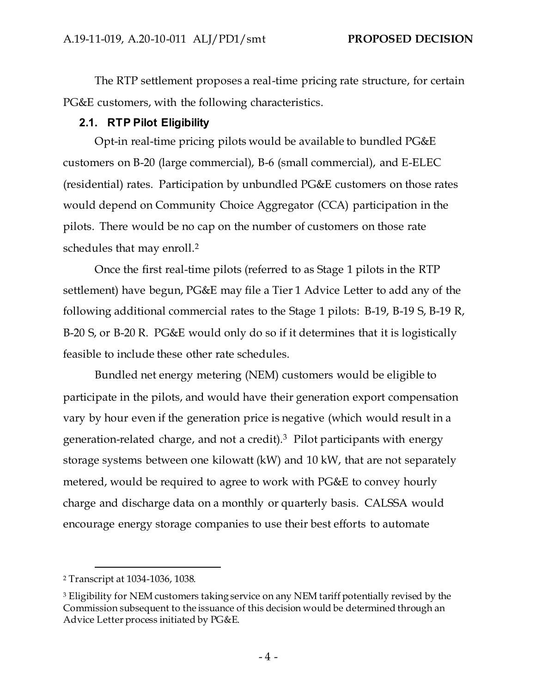The RTP settlement proposes a real-time pricing rate structure, for certain PG&E customers, with the following characteristics.

## **2.1. RTP Pilot Eligibility**

Opt-in real-time pricing pilots would be available to bundled PG&E customers on B-20 (large commercial), B-6 (small commercial), and E-ELEC (residential) rates. Participation by unbundled PG&E customers on those rates would depend on Community Choice Aggregator (CCA) participation in the pilots. There would be no cap on the number of customers on those rate schedules that may enroll.<sup>2</sup>

Once the first real-time pilots (referred to as Stage 1 pilots in the RTP settlement) have begun, PG&E may file a Tier 1 Advice Letter to add any of the following additional commercial rates to the Stage 1 pilots: B-19, B-19 S, B-19 R, B-20 S, or B-20 R. PG&E would only do so if it determines that it is logistically feasible to include these other rate schedules.

Bundled net energy metering (NEM) customers would be eligible to participate in the pilots, and would have their generation export compensation vary by hour even if the generation price is negative (which would result in a generation-related charge, and not a credit).<sup>3</sup> Pilot participants with energy storage systems between one kilowatt (kW) and 10 kW, that are not separately metered, would be required to agree to work with PG&E to convey hourly charge and discharge data on a monthly or quarterly basis. CALSSA would encourage energy storage companies to use their best efforts to automate

<sup>2</sup> Transcript at 1034-1036, 1038.

<sup>&</sup>lt;sup>3</sup> Eligibility for NEM customers taking service on any NEM tariff potentially revised by the Commission subsequent to the issuance of this decision would be determined through an Advice Letter process initiated by PG&E.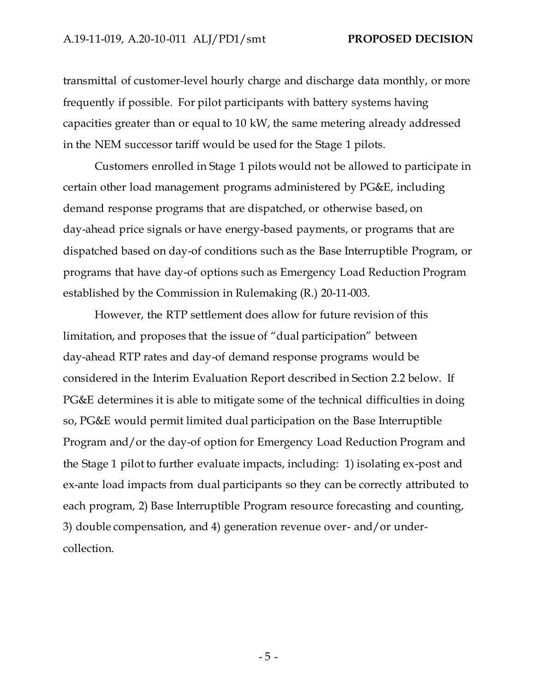transmittal of customer-level hourly charge and discharge data monthly, or more frequently if possible. For pilot participants with battery systems having capacities greater than or equal to 10 kW, the same metering already addressed in the NEM successor tariff would be used for the Stage 1 pilots.

Customers enrolled in Stage 1 pilots would not be allowed to participate in certain other load management programs administered by PG&E, including demand response programs that are dispatched, or otherwise based, on day-ahead price signals or have energy-based payments, or programs that are dispatched based on day-of conditions such as the Base Interruptible Program, or programs that have day-of options such as Emergency Load Reduction Program established by the Commission in Rulemaking (R.) 20-11-003.

However, the RTP settlement does allow for future revision of this limitation, and proposes that the issue of "dual participation" between day-ahead RTP rates and day-of demand response programs would be considered in the Interim Evaluation Report described in Section 2.2 below. If PG&E determines it is able to mitigate some of the technical difficulties in doing so, PG&E would permit limited dual participation on the Base Interruptible Program and/or the day-of option for Emergency Load Reduction Program and the Stage 1 pilot to further evaluate impacts, including: 1) isolating ex-post and ex-ante load impacts from dual participants so they can be correctly attributed to each program, 2) Base Interruptible Program resource forecasting and counting, 3) double compensation, and 4) generation revenue over- and/or undercollection.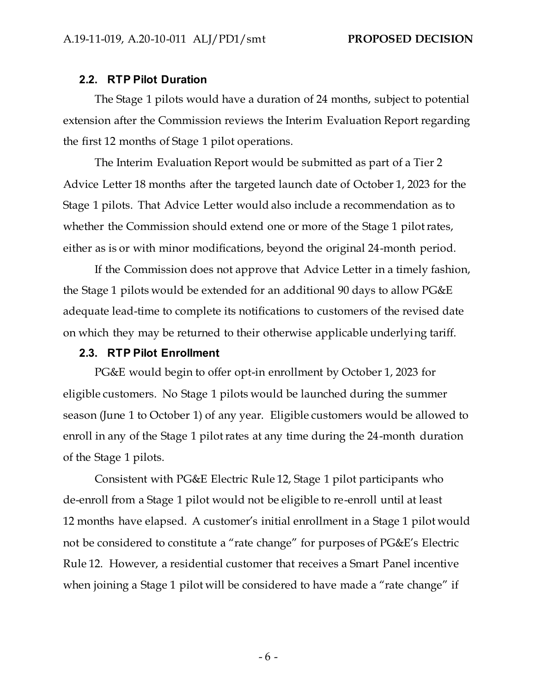#### **2.2. RTP Pilot Duration**

The Stage 1 pilots would have a duration of 24 months, subject to potential extension after the Commission reviews the Interim Evaluation Report regarding the first 12 months of Stage 1 pilot operations.

The Interim Evaluation Report would be submitted as part of a Tier 2 Advice Letter 18 months after the targeted launch date of October 1, 2023 for the Stage 1 pilots. That Advice Letter would also include a recommendation as to whether the Commission should extend one or more of the Stage 1 pilot rates, either as is or with minor modifications, beyond the original 24-month period.

If the Commission does not approve that Advice Letter in a timely fashion, the Stage 1 pilots would be extended for an additional 90 days to allow PG&E adequate lead-time to complete its notifications to customers of the revised date on which they may be returned to their otherwise applicable underlying tariff.

#### **2.3. RTP Pilot Enrollment**

PG&E would begin to offer opt-in enrollment by October 1, 2023 for eligible customers. No Stage 1 pilots would be launched during the summer season (June 1 to October 1) of any year. Eligible customers would be allowed to enroll in any of the Stage 1 pilot rates at any time during the 24-month duration of the Stage 1 pilots.

Consistent with PG&E Electric Rule 12, Stage 1 pilot participants who de-enroll from a Stage 1 pilot would not be eligible to re-enroll until at least 12 months have elapsed. A customer's initial enrollment in a Stage 1 pilot would not be considered to constitute a "rate change" for purposes of PG&E's Electric Rule 12. However, a residential customer that receives a Smart Panel incentive when joining a Stage 1 pilot will be considered to have made a "rate change" if

- 6 -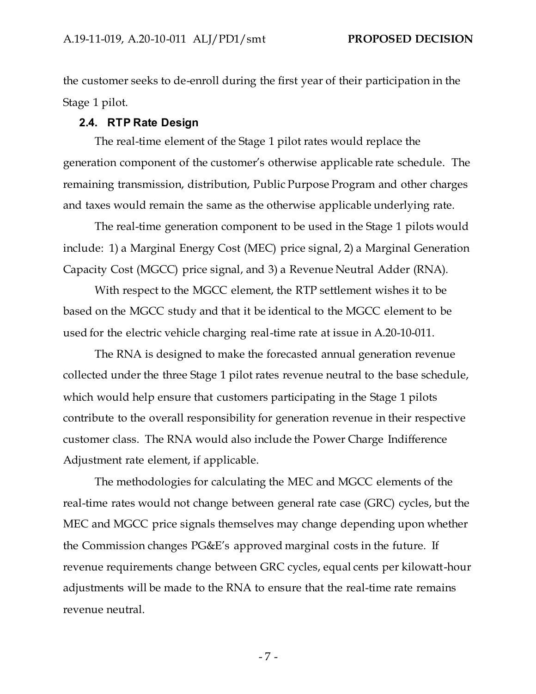the customer seeks to de-enroll during the first year of their participation in the Stage 1 pilot.

#### **2.4. RTP Rate Design**

The real-time element of the Stage 1 pilot rates would replace the generation component of the customer's otherwise applicable rate schedule. The remaining transmission, distribution, Public Purpose Program and other charges and taxes would remain the same as the otherwise applicable underlying rate.

The real-time generation component to be used in the Stage 1 pilots would include: 1) a Marginal Energy Cost (MEC) price signal, 2) a Marginal Generation Capacity Cost (MGCC) price signal, and 3) a Revenue Neutral Adder (RNA).

With respect to the MGCC element, the RTP settlement wishes it to be based on the MGCC study and that it be identical to the MGCC element to be used for the electric vehicle charging real-time rate at issue in A.20-10-011.

The RNA is designed to make the forecasted annual generation revenue collected under the three Stage 1 pilot rates revenue neutral to the base schedule, which would help ensure that customers participating in the Stage 1 pilots contribute to the overall responsibility for generation revenue in their respective customer class. The RNA would also include the Power Charge Indifference Adjustment rate element, if applicable.

The methodologies for calculating the MEC and MGCC elements of the real-time rates would not change between general rate case (GRC) cycles, but the MEC and MGCC price signals themselves may change depending upon whether the Commission changes PG&E's approved marginal costs in the future. If revenue requirements change between GRC cycles, equal cents per kilowatt-hour adjustments will be made to the RNA to ensure that the real-time rate remains revenue neutral.

- 7 -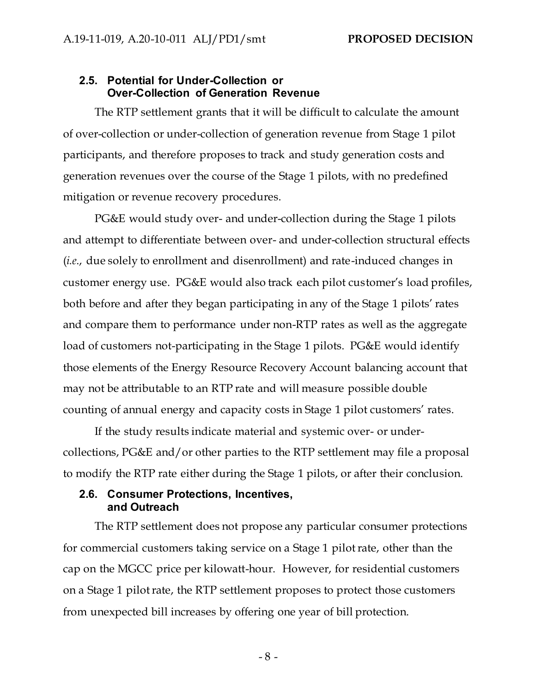## **2.5. Potential for Under-Collection or Over-Collection of Generation Revenue**

The RTP settlement grants that it will be difficult to calculate the amount of over-collection or under-collection of generation revenue from Stage 1 pilot participants, and therefore proposes to track and study generation costs and generation revenues over the course of the Stage 1 pilots, with no predefined mitigation or revenue recovery procedures.

PG&E would study over- and under-collection during the Stage 1 pilots and attempt to differentiate between over- and under-collection structural effects (*i.e*., due solely to enrollment and disenrollment) and rate-induced changes in customer energy use. PG&E would also track each pilot customer's load profiles, both before and after they began participating in any of the Stage 1 pilots' rates and compare them to performance under non-RTP rates as well as the aggregate load of customers not-participating in the Stage 1 pilots. PG&E would identify those elements of the Energy Resource Recovery Account balancing account that may not be attributable to an RTP rate and will measure possible double counting of annual energy and capacity costs in Stage 1 pilot customers' rates.

If the study results indicate material and systemic over- or undercollections, PG&E and/or other parties to the RTP settlement may file a proposal to modify the RTP rate either during the Stage 1 pilots, or after their conclusion.

## **2.6. Consumer Protections, Incentives, and Outreach**

The RTP settlement does not propose any particular consumer protections for commercial customers taking service on a Stage 1 pilot rate, other than the cap on the MGCC price per kilowatt-hour. However, for residential customers on a Stage 1 pilot rate, the RTP settlement proposes to protect those customers from unexpected bill increases by offering one year of bill protection.

- 8 -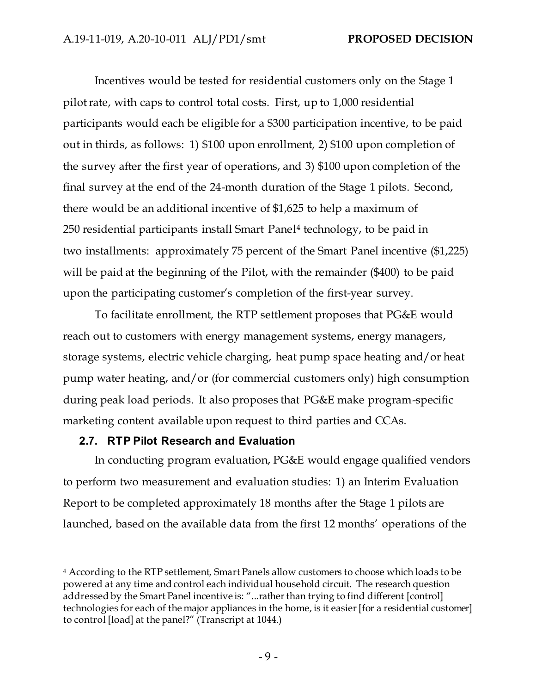Incentives would be tested for residential customers only on the Stage 1 pilot rate, with caps to control total costs. First, up to 1,000 residential participants would each be eligible for a \$300 participation incentive, to be paid out in thirds, as follows: 1) \$100 upon enrollment, 2) \$100 upon completion of the survey after the first year of operations, and 3) \$100 upon completion of the final survey at the end of the 24-month duration of the Stage 1 pilots. Second, there would be an additional incentive of \$1,625 to help a maximum of 250 residential participants install Smart Panel <sup>4</sup> technology, to be paid in two installments: approximately 75 percent of the Smart Panel incentive (\$1,225) will be paid at the beginning of the Pilot, with the remainder (\$400) to be paid upon the participating customer's completion of the first-year survey.

To facilitate enrollment, the RTP settlement proposes that PG&E would reach out to customers with energy management systems, energy managers, storage systems, electric vehicle charging, heat pump space heating and/or heat pump water heating, and/or (for commercial customers only) high consumption during peak load periods. It also proposes that PG&E make program-specific marketing content available upon request to third parties and CCAs.

### **2.7. RTP Pilot Research and Evaluation**

In conducting program evaluation, PG&E would engage qualified vendors to perform two measurement and evaluation studies: 1) an Interim Evaluation Report to be completed approximately 18 months after the Stage 1 pilots are launched, based on the available data from the first 12 months' operations of the

<sup>4</sup> According to the RTP settlement, Smart Panels allow customers to choose which loads to be powered at any time and control each individual household circuit. The research question addressed by the Smart Panel incentive is: "...rather than trying to find different [control] technologies for each of the major appliances in the home, is it easier [for a residential customer] to control [load] at the panel?" (Transcript at 1044.)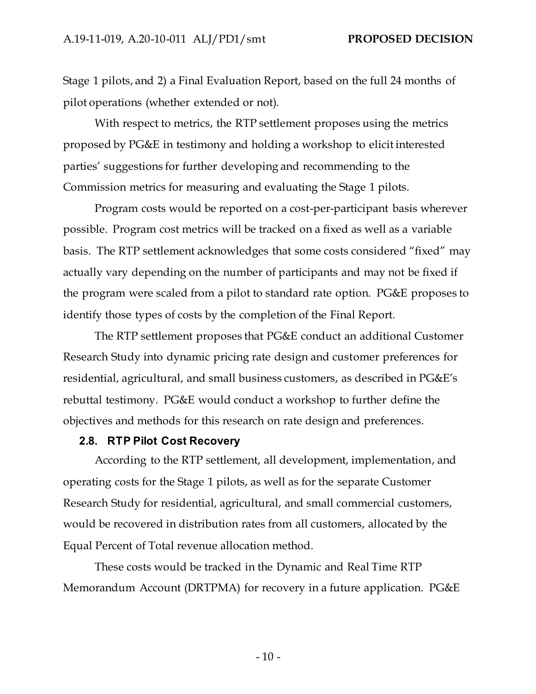Stage 1 pilots, and 2) a Final Evaluation Report, based on the full 24 months of pilot operations (whether extended or not).

With respect to metrics, the RTP settlement proposes using the metrics proposed by PG&E in testimony and holding a workshop to elicit interested parties' suggestions for further developing and recommending to the Commission metrics for measuring and evaluating the Stage 1 pilots.

Program costs would be reported on a cost-per-participant basis wherever possible. Program cost metrics will be tracked on a fixed as well as a variable basis. The RTP settlement acknowledges that some costs considered "fixed" may actually vary depending on the number of participants and may not be fixed if the program were scaled from a pilot to standard rate option. PG&E proposes to identify those types of costs by the completion of the Final Report.

The RTP settlement proposes that PG&E conduct an additional Customer Research Study into dynamic pricing rate design and customer preferences for residential, agricultural, and small business customers, as described in PG&E's rebuttal testimony. PG&E would conduct a workshop to further define the objectives and methods for this research on rate design and preferences.

#### **2.8. RTP Pilot Cost Recovery**

According to the RTP settlement, all development, implementation, and operating costs for the Stage 1 pilots, as well as for the separate Customer Research Study for residential, agricultural, and small commercial customers, would be recovered in distribution rates from all customers, allocated by the Equal Percent of Total revenue allocation method.

These costs would be tracked in the Dynamic and Real Time RTP Memorandum Account (DRTPMA) for recovery in a future application. PG&E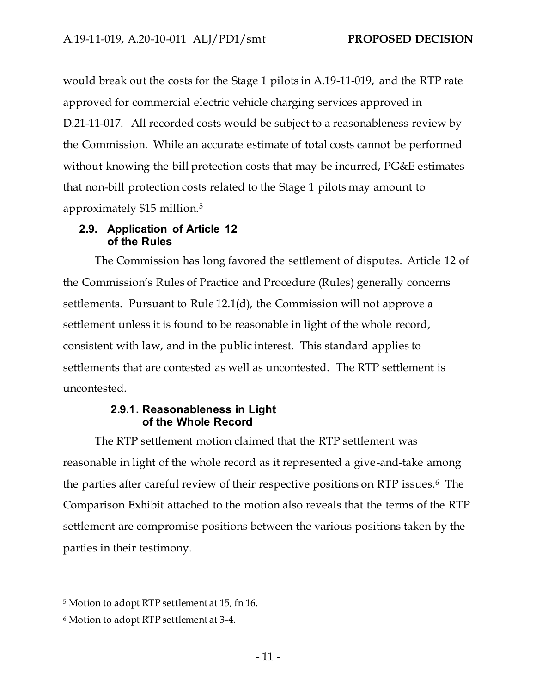would break out the costs for the Stage 1 pilots in A.19-11-019, and the RTP rate approved for commercial electric vehicle charging services approved in D.21-11-017. All recorded costs would be subject to a reasonableness review by the Commission. While an accurate estimate of total costs cannot be performed without knowing the bill protection costs that may be incurred, PG&E estimates that non-bill protection costs related to the Stage 1 pilots may amount to approximately \$15 million.<sup>5</sup>

### **2.9. Application of Article 12 of the Rules**

The Commission has long favored the settlement of disputes. Article 12 of the Commission's Rules of Practice and Procedure (Rules) generally concerns settlements. Pursuant to Rule 12.1(d), the Commission will not approve a settlement unless it is found to be reasonable in light of the whole record, consistent with law, and in the public interest. This standard applies to settlements that are contested as well as uncontested. The RTP settlement is uncontested.

## **2.9.1. Reasonableness in Light of the Whole Record**

The RTP settlement motion claimed that the RTP settlement was reasonable in light of the whole record as it represented a give-and-take among the parties after careful review of their respective positions on RTP issues.<sup>6</sup> The Comparison Exhibit attached to the motion also reveals that the terms of the RTP settlement are compromise positions between the various positions taken by the parties in their testimony.

<sup>5</sup> Motion to adopt RTP settlement at 15, fn 16.

<sup>6</sup> Motion to adopt RTP settlement at 3-4.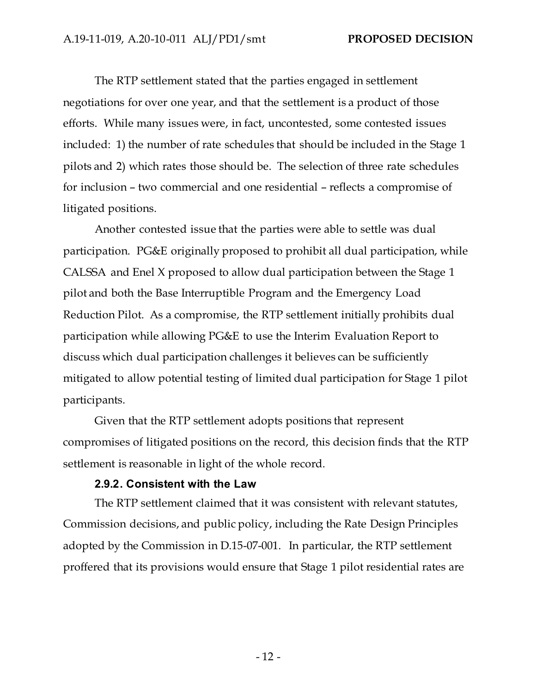The RTP settlement stated that the parties engaged in settlement negotiations for over one year, and that the settlement is a product of those efforts. While many issues were, in fact, uncontested, some contested issues included: 1) the number of rate schedules that should be included in the Stage 1 pilots and 2) which rates those should be. The selection of three rate schedules for inclusion – two commercial and one residential – reflects a compromise of litigated positions.

Another contested issue that the parties were able to settle was dual participation. PG&E originally proposed to prohibit all dual participation, while CALSSA and Enel X proposed to allow dual participation between the Stage 1 pilot and both the Base Interruptible Program and the Emergency Load Reduction Pilot. As a compromise, the RTP settlement initially prohibits dual participation while allowing PG&E to use the Interim Evaluation Report to discuss which dual participation challenges it believes can be sufficiently mitigated to allow potential testing of limited dual participation for Stage 1 pilot participants.

Given that the RTP settlement adopts positions that represent compromises of litigated positions on the record, this decision finds that the RTP settlement is reasonable in light of the whole record.

#### **2.9.2. Consistent with the Law**

The RTP settlement claimed that it was consistent with relevant statutes, Commission decisions, and public policy, including the Rate Design Principles adopted by the Commission in D.15-07-001. In particular, the RTP settlement proffered that its provisions would ensure that Stage 1 pilot residential rates are

- 12 -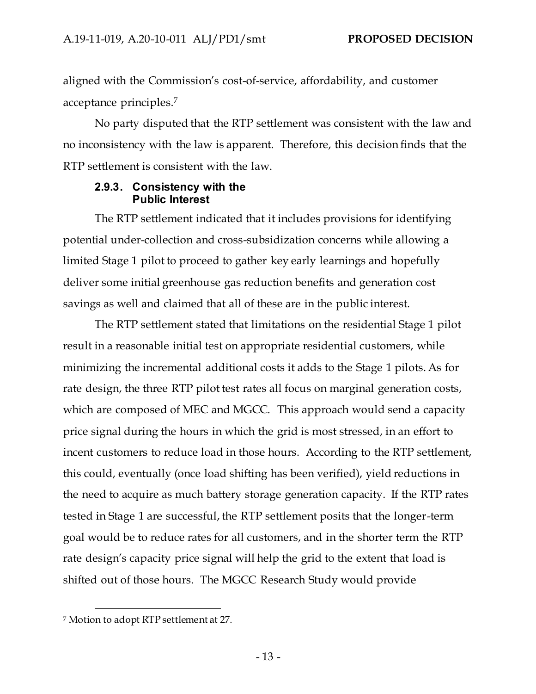aligned with the Commission's cost-of-service, affordability, and customer acceptance principles.<sup>7</sup>

No party disputed that the RTP settlement was consistent with the law and no inconsistency with the law is apparent. Therefore, this decision finds that the RTP settlement is consistent with the law.

## **2.9.3. Consistency with the Public Interest**

The RTP settlement indicated that it includes provisions for identifying potential under-collection and cross-subsidization concerns while allowing a limited Stage 1 pilot to proceed to gather key early learnings and hopefully deliver some initial greenhouse gas reduction benefits and generation cost savings as well and claimed that all of these are in the public interest.

The RTP settlement stated that limitations on the residential Stage 1 pilot result in a reasonable initial test on appropriate residential customers, while minimizing the incremental additional costs it adds to the Stage 1 pilots. As for rate design, the three RTP pilot test rates all focus on marginal generation costs, which are composed of MEC and MGCC. This approach would send a capacity price signal during the hours in which the grid is most stressed, in an effort to incent customers to reduce load in those hours. According to the RTP settlement, this could, eventually (once load shifting has been verified), yield reductions in the need to acquire as much battery storage generation capacity. If the RTP rates tested in Stage 1 are successful, the RTP settlement posits that the longer-term goal would be to reduce rates for all customers, and in the shorter term the RTP rate design's capacity price signal will help the grid to the extent that load is shifted out of those hours. The MGCC Research Study would provide

<sup>7</sup> Motion to adopt RTP settlement at 27.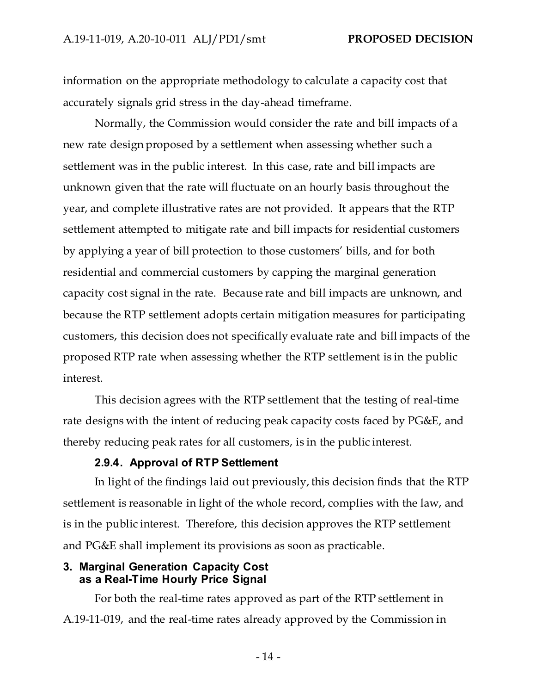information on the appropriate methodology to calculate a capacity cost that accurately signals grid stress in the day-ahead timeframe.

Normally, the Commission would consider the rate and bill impacts of a new rate design proposed by a settlement when assessing whether such a settlement was in the public interest. In this case, rate and bill impacts are unknown given that the rate will fluctuate on an hourly basis throughout the year, and complete illustrative rates are not provided. It appears that the RTP settlement attempted to mitigate rate and bill impacts for residential customers by applying a year of bill protection to those customers' bills, and for both residential and commercial customers by capping the marginal generation capacity cost signal in the rate. Because rate and bill impacts are unknown, and because the RTP settlement adopts certain mitigation measures for participating customers, this decision does not specifically evaluate rate and bill impacts of the proposed RTP rate when assessing whether the RTP settlement is in the public interest.

This decision agrees with the RTP settlement that the testing of real-time rate designs with the intent of reducing peak capacity costs faced by PG&E, and thereby reducing peak rates for all customers, is in the public interest.

#### **2.9.4. Approval of RTP Settlement**

In light of the findings laid out previously, this decision finds that the RTP settlement is reasonable in light of the whole record, complies with the law, and is in the public interest. Therefore, this decision approves the RTP settlement and PG&E shall implement its provisions as soon as practicable.

#### **3. Marginal Generation Capacity Cost as a Real-Time Hourly Price Signal**

For both the real-time rates approved as part of the RTP settlement in A.19-11-019, and the real-time rates already approved by the Commission in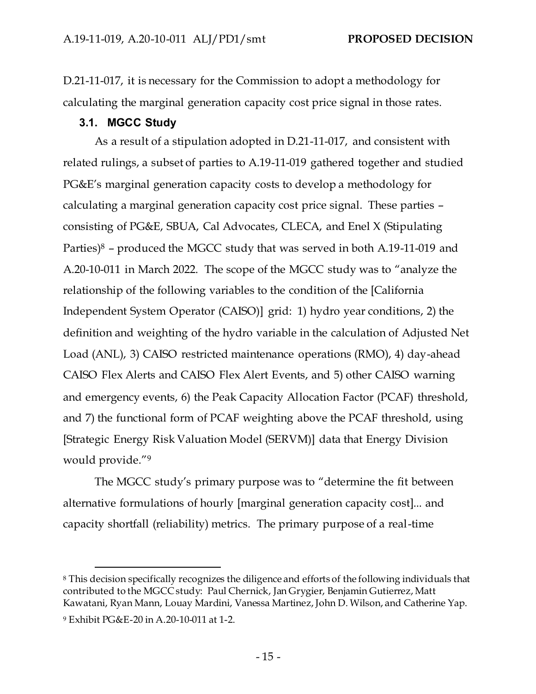D.21-11-017, it is necessary for the Commission to adopt a methodology for calculating the marginal generation capacity cost price signal in those rates.

## **3.1. MGCC Study**

As a result of a stipulation adopted in D.21-11-017, and consistent with related rulings, a subset of parties to A.19-11-019 gathered together and studied PG&E's marginal generation capacity costs to develop a methodology for calculating a marginal generation capacity cost price signal. These parties – consisting of PG&E, SBUA, Cal Advocates, CLECA, and Enel X (Stipulating Parties) $8$  – produced the MGCC study that was served in both A.19-11-019 and A.20-10-011 in March 2022. The scope of the MGCC study was to "analyze the relationship of the following variables to the condition of the [California Independent System Operator (CAISO)] grid: 1) hydro year conditions, 2) the definition and weighting of the hydro variable in the calculation of Adjusted Net Load (ANL), 3) CAISO restricted maintenance operations (RMO), 4) day-ahead CAISO Flex Alerts and CAISO Flex Alert Events, and 5) other CAISO warning and emergency events, 6) the Peak Capacity Allocation Factor (PCAF) threshold, and 7) the functional form of PCAF weighting above the PCAF threshold, using [Strategic Energy Risk Valuation Model (SERVM)] data that Energy Division would provide."<sup>9</sup>

The MGCC study's primary purpose was to "determine the fit between alternative formulations of hourly [marginal generation capacity cost]... and capacity shortfall (reliability) metrics. The primary purpose of a real-time

<sup>8</sup> This decision specifically recognizes the diligence and efforts of the following individuals that contributed to the MGCC study: Paul Chernick, Jan Grygier, Benjamin Gutierrez, Matt Kawatani, Ryan Mann, Louay Mardini, Vanessa Martinez, John D. Wilson, and Catherine Yap.

<sup>9</sup> Exhibit PG&E-20 in A.20-10-011 at 1-2.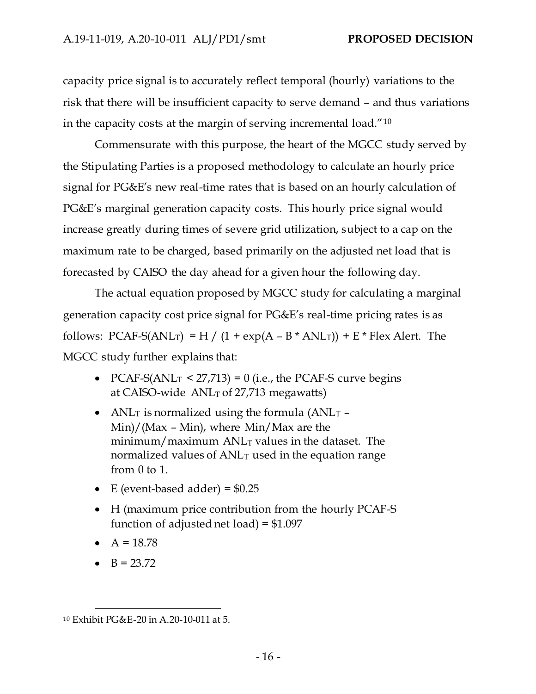capacity price signal is to accurately reflect temporal (hourly) variations to the risk that there will be insufficient capacity to serve demand – and thus variations in the capacity costs at the margin of serving incremental load."<sup>10</sup>

Commensurate with this purpose, the heart of the MGCC study served by the Stipulating Parties is a proposed methodology to calculate an hourly price signal for PG&E's new real-time rates that is based on an hourly calculation of PG&E's marginal generation capacity costs. This hourly price signal would increase greatly during times of severe grid utilization, subject to a cap on the maximum rate to be charged, based primarily on the adjusted net load that is forecasted by CAISO the day ahead for a given hour the following day.

The actual equation proposed by MGCC study for calculating a marginal generation capacity cost price signal for PG&E's real-time pricing rates is as follows: PCAF-S(ANL<sub>T</sub>) = H / (1 + exp(A – B \* ANL<sub>T</sub>)) + E \* Flex Alert. The MGCC study further explains that:

- PCAF-S(ANL<sub>T</sub> < 27,713) = 0 (i.e., the PCAF-S curve begins at CAISO-wide  $ANL<sub>T</sub>$  of 27,713 megawatts)
- ANL<sub>T</sub> is normalized using the formula (ANL<sub>T</sub> Min)/(Max – Min), where Min/Max are the minimum/maximum  $ANL<sub>T</sub>$  values in the dataset. The normalized values of  $ANL<sub>T</sub>$  used in the equation range from 0 to 1.
- E (event-based adder) =  $$0.25$
- H (maximum price contribution from the hourly PCAF-S function of adjusted net load) = \$1.097
- $A = 18.78$
- $B = 23.72$

<sup>10</sup> Exhibit PG&E-20 in A.20-10-011 at 5.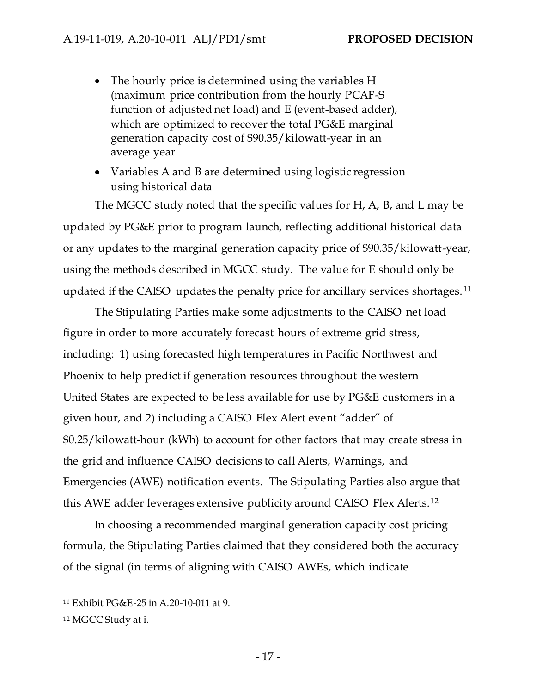- The hourly price is determined using the variables H (maximum price contribution from the hourly PCAF-S function of adjusted net load) and E (event-based adder), which are optimized to recover the total PG&E marginal generation capacity cost of \$90.35/kilowatt-year in an average year
- Variables A and B are determined using logistic regression using historical data

The MGCC study noted that the specific values for H, A, B, and L may be updated by PG&E prior to program launch, reflecting additional historical data or any updates to the marginal generation capacity price of \$90.35/kilowatt-year, using the methods described in MGCC study. The value for E should only be updated if the CAISO updates the penalty price for ancillary services shortages.<sup>11</sup>

The Stipulating Parties make some adjustments to the CAISO net load figure in order to more accurately forecast hours of extreme grid stress, including: 1) using forecasted high temperatures in Pacific Northwest and Phoenix to help predict if generation resources throughout the western United States are expected to be less available for use by PG&E customers in a given hour, and 2) including a CAISO Flex Alert event "adder" of \$0.25/kilowatt-hour (kWh) to account for other factors that may create stress in the grid and influence CAISO decisions to call Alerts, Warnings, and Emergencies (AWE) notification events. The Stipulating Parties also argue that this AWE adder leverages extensive publicity around CAISO Flex Alerts.<sup>12</sup>

In choosing a recommended marginal generation capacity cost pricing formula, the Stipulating Parties claimed that they considered both the accuracy of the signal (in terms of aligning with CAISO AWEs, which indicate

<sup>11</sup> Exhibit PG&E-25 in A.20-10-011 at 9.

<sup>12</sup> MGCC Study at i.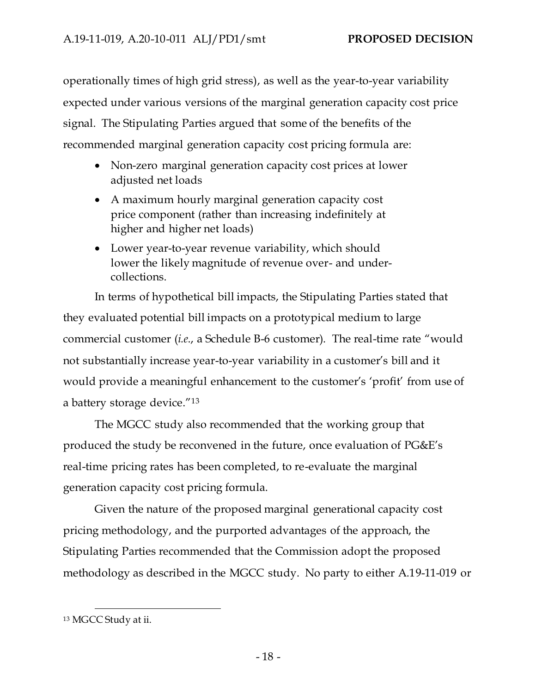operationally times of high grid stress), as well as the year-to-year variability expected under various versions of the marginal generation capacity cost price signal. The Stipulating Parties argued that some of the benefits of the recommended marginal generation capacity cost pricing formula are:

- Non-zero marginal generation capacity cost prices at lower adjusted net loads
- A maximum hourly marginal generation capacity cost price component (rather than increasing indefinitely at higher and higher net loads)
- Lower year-to-year revenue variability, which should lower the likely magnitude of revenue over- and undercollections.

In terms of hypothetical bill impacts, the Stipulating Parties stated that they evaluated potential bill impacts on a prototypical medium to large commercial customer (*i.e*., a Schedule B-6 customer). The real-time rate "would not substantially increase year-to-year variability in a customer's bill and it would provide a meaningful enhancement to the customer's 'profit' from use of a battery storage device."<sup>13</sup>

The MGCC study also recommended that the working group that produced the study be reconvened in the future, once evaluation of PG&E's real-time pricing rates has been completed, to re-evaluate the marginal generation capacity cost pricing formula.

Given the nature of the proposed marginal generational capacity cost pricing methodology, and the purported advantages of the approach, the Stipulating Parties recommended that the Commission adopt the proposed methodology as described in the MGCC study. No party to either A.19-11-019 or

<sup>13</sup> MGCC Study at ii.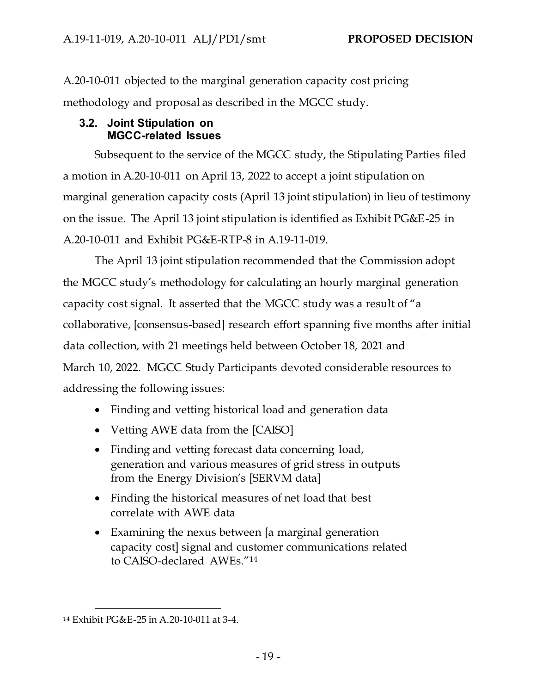A.20-10-011 objected to the marginal generation capacity cost pricing methodology and proposal as described in the MGCC study.

## **3.2. Joint Stipulation on MGCC-related Issues**

Subsequent to the service of the MGCC study, the Stipulating Parties filed a motion in A.20-10-011 on April 13, 2022 to accept a joint stipulation on marginal generation capacity costs (April 13 joint stipulation) in lieu of testimony on the issue. The April 13 joint stipulation is identified as Exhibit PG&E-25 in A.20-10-011 and Exhibit PG&E-RTP-8 in A.19-11-019.

The April 13 joint stipulation recommended that the Commission adopt the MGCC study's methodology for calculating an hourly marginal generation capacity cost signal. It asserted that the MGCC study was a result of "a collaborative, [consensus-based] research effort spanning five months after initial data collection, with 21 meetings held between October 18, 2021 and March 10, 2022. MGCC Study Participants devoted considerable resources to addressing the following issues:

- Finding and vetting historical load and generation data
- Vetting AWE data from the [CAISO]
- Finding and vetting forecast data concerning load, generation and various measures of grid stress in outputs from the Energy Division's [SERVM data]
- Finding the historical measures of net load that best correlate with AWE data
- Examining the nexus between [a marginal generation capacity cost] signal and customer communications related to CAISO-declared AWEs."<sup>14</sup>

<sup>14</sup> Exhibit PG&E-25 in A.20-10-011 at 3-4.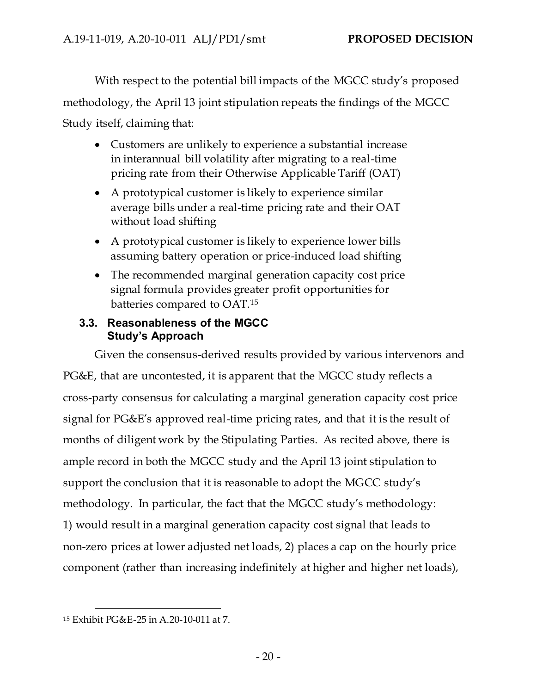With respect to the potential bill impacts of the MGCC study's proposed

methodology, the April 13 joint stipulation repeats the findings of the MGCC

Study itself, claiming that:

- Customers are unlikely to experience a substantial increase in interannual bill volatility after migrating to a real-time pricing rate from their Otherwise Applicable Tariff (OAT)
- A prototypical customer is likely to experience similar average bills under a real-time pricing rate and their OAT without load shifting
- A prototypical customer is likely to experience lower bills assuming battery operation or price-induced load shifting
- The recommended marginal generation capacity cost price signal formula provides greater profit opportunities for batteries compared to OAT.<sup>15</sup>

# **3.3. Reasonableness of the MGCC Study's Approach**

Given the consensus-derived results provided by various intervenors and PG&E, that are uncontested, it is apparent that the MGCC study reflects a cross-party consensus for calculating a marginal generation capacity cost price signal for PG&E's approved real-time pricing rates, and that it is the result of months of diligent work by the Stipulating Parties. As recited above, there is ample record in both the MGCC study and the April 13 joint stipulation to support the conclusion that it is reasonable to adopt the MGCC study's methodology. In particular, the fact that the MGCC study's methodology: 1) would result in a marginal generation capacity cost signal that leads to non-zero prices at lower adjusted net loads, 2) places a cap on the hourly price component (rather than increasing indefinitely at higher and higher net loads),

<sup>15</sup> Exhibit PG&E-25 in A.20-10-011 at 7.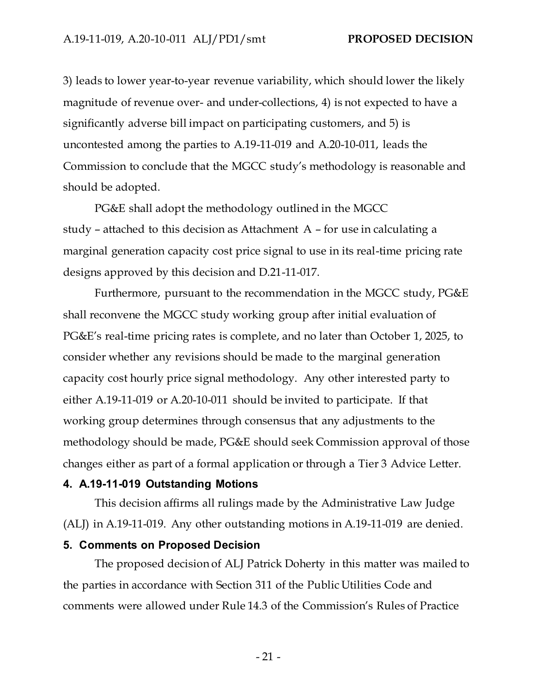3) leads to lower year-to-year revenue variability, which should lower the likely magnitude of revenue over- and under-collections, 4) is not expected to have a significantly adverse bill impact on participating customers, and 5) is uncontested among the parties to A.19-11-019 and A.20-10-011, leads the Commission to conclude that the MGCC study's methodology is reasonable and should be adopted.

PG&E shall adopt the methodology outlined in the MGCC study – attached to this decision as Attachment A – for use in calculating a marginal generation capacity cost price signal to use in its real-time pricing rate designs approved by this decision and D.21-11-017.

Furthermore, pursuant to the recommendation in the MGCC study, PG&E shall reconvene the MGCC study working group after initial evaluation of PG&E's real-time pricing rates is complete, and no later than October 1, 2025, to consider whether any revisions should be made to the marginal generation capacity cost hourly price signal methodology. Any other interested party to either A.19-11-019 or A.20-10-011 should be invited to participate. If that working group determines through consensus that any adjustments to the methodology should be made, PG&E should seek Commission approval of those changes either as part of a formal application or through a Tier 3 Advice Letter.

#### **4. A.19-11-019 Outstanding Motions**

This decision affirms all rulings made by the Administrative Law Judge (ALJ) in A.19-11-019. Any other outstanding motions in A.19-11-019 are denied.

### **5. Comments on Proposed Decision**

The proposed decision of ALJ Patrick Doherty in this matter was mailed to the parties in accordance with Section 311 of the Public Utilities Code and comments were allowed under Rule 14.3 of the Commission's Rules of Practice

- 21 -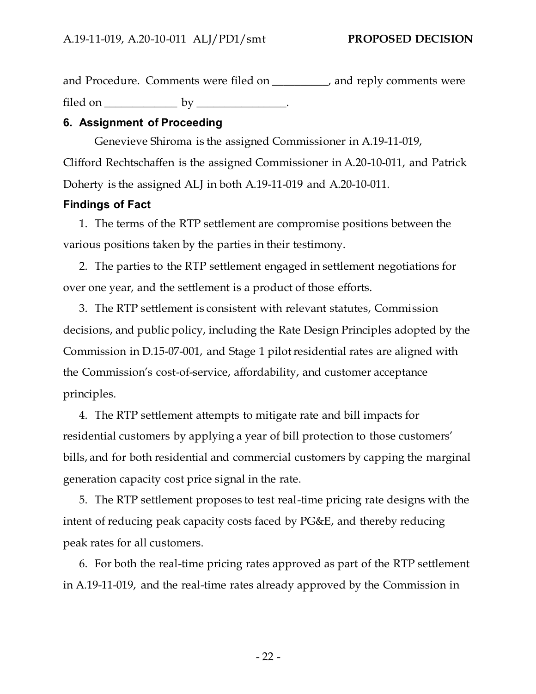and Procedure. Comments were filed on \_\_\_\_\_\_\_\_\_\_, and reply comments were filed on  $\rule{1em}{0.15mm}$  by  $\rule{1.15mm}{0.15mm}$ .

## **6. Assignment of Proceeding**

Genevieve Shiroma is the assigned Commissioner in A.19-11-019, Clifford Rechtschaffen is the assigned Commissioner in A.20-10-011, and Patrick Doherty is the assigned ALJ in both A.19-11-019 and A.20-10-011.

## **Findings of Fact**

1. The terms of the RTP settlement are compromise positions between the various positions taken by the parties in their testimony.

2. The parties to the RTP settlement engaged in settlement negotiations for over one year, and the settlement is a product of those efforts.

3. The RTP settlement is consistent with relevant statutes, Commission decisions, and public policy, including the Rate Design Principles adopted by the Commission in D.15-07-001, and Stage 1 pilot residential rates are aligned with the Commission's cost-of-service, affordability, and customer acceptance principles.

4. The RTP settlement attempts to mitigate rate and bill impacts for residential customers by applying a year of bill protection to those customers' bills, and for both residential and commercial customers by capping the marginal generation capacity cost price signal in the rate.

5. The RTP settlement proposes to test real-time pricing rate designs with the intent of reducing peak capacity costs faced by PG&E, and thereby reducing peak rates for all customers.

6. For both the real-time pricing rates approved as part of the RTP settlement in A.19-11-019, and the real-time rates already approved by the Commission in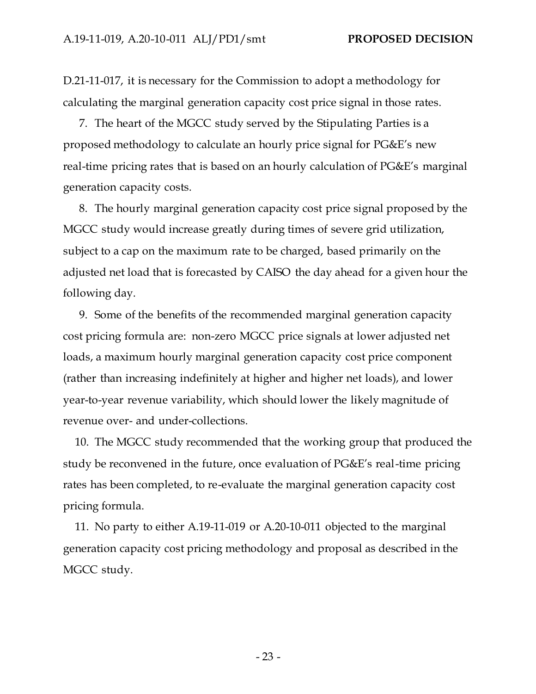D.21-11-017, it is necessary for the Commission to adopt a methodology for calculating the marginal generation capacity cost price signal in those rates.

7. The heart of the MGCC study served by the Stipulating Parties is a proposed methodology to calculate an hourly price signal for PG&E's new real-time pricing rates that is based on an hourly calculation of PG&E's marginal generation capacity costs.

8. The hourly marginal generation capacity cost price signal proposed by the MGCC study would increase greatly during times of severe grid utilization, subject to a cap on the maximum rate to be charged, based primarily on the adjusted net load that is forecasted by CAISO the day ahead for a given hour the following day.

9. Some of the benefits of the recommended marginal generation capacity cost pricing formula are: non-zero MGCC price signals at lower adjusted net loads, a maximum hourly marginal generation capacity cost price component (rather than increasing indefinitely at higher and higher net loads), and lower year-to-year revenue variability, which should lower the likely magnitude of revenue over- and under-collections.

10. The MGCC study recommended that the working group that produced the study be reconvened in the future, once evaluation of PG&E's real-time pricing rates has been completed, to re-evaluate the marginal generation capacity cost pricing formula.

11. No party to either A.19-11-019 or A.20-10-011 objected to the marginal generation capacity cost pricing methodology and proposal as described in the MGCC study.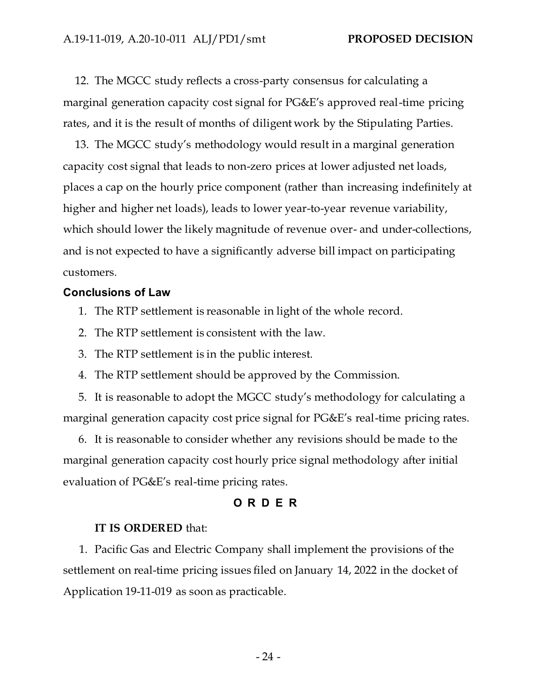12. The MGCC study reflects a cross-party consensus for calculating a marginal generation capacity cost signal for PG&E's approved real-time pricing rates, and it is the result of months of diligent work by the Stipulating Parties.

13. The MGCC study's methodology would result in a marginal generation capacity cost signal that leads to non-zero prices at lower adjusted net loads, places a cap on the hourly price component (rather than increasing indefinitely at higher and higher net loads), leads to lower year-to-year revenue variability, which should lower the likely magnitude of revenue over- and under-collections, and is not expected to have a significantly adverse bill impact on participating customers.

#### **Conclusions of Law**

- 1. The RTP settlement is reasonable in light of the whole record.
- 2. The RTP settlement is consistent with the law.
- 3. The RTP settlement is in the public interest.
- 4. The RTP settlement should be approved by the Commission.

5. It is reasonable to adopt the MGCC study's methodology for calculating a marginal generation capacity cost price signal for PG&E's real-time pricing rates.

6. It is reasonable to consider whether any revisions should be made to the marginal generation capacity cost hourly price signal methodology after initial evaluation of PG&E's real-time pricing rates.

## **O R D E R**

#### **IT IS ORDERED** that:

1. Pacific Gas and Electric Company shall implement the provisions of the settlement on real-time pricing issues filed on January 14, 2022 in the docket of Application 19-11-019 as soon as practicable.